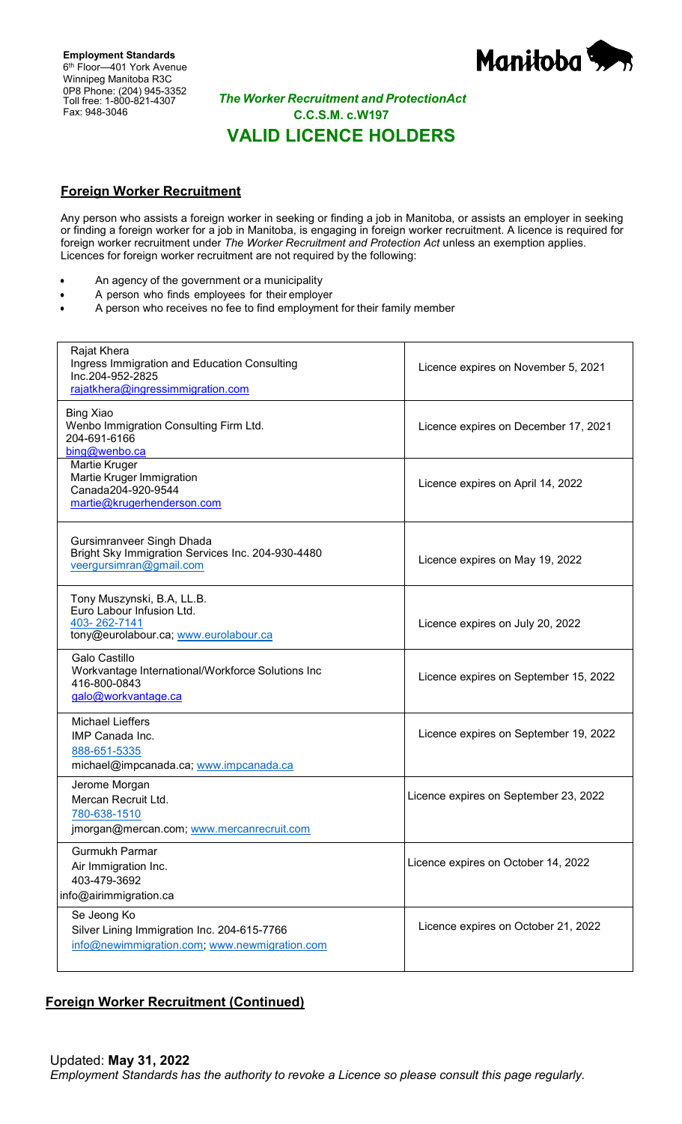**Employment Standards** 6<sup>th</sup> Floor-401 York Avenue Winnipeg Manitoba R3C 0P8 Phone: (204) 945-3352 Toll free: 1-800-821-4307 Fax: 948-3046



## *The Worker Recruitment and ProtectionAct* **C.C.S.M. c.W197 VALID LICENCE HOLDERS**

# **Foreign Worker Recruitment**

Any person who assists a foreign worker in seeking or finding a job in Manitoba, or assists an employer in seeking or finding a foreign worker for a job in Manitoba, is engaging in foreign worker recruitment. A licence is required for foreign worker recruitment under *The Worker Recruitment and Protection Act* unless an exemption applies. Licences for foreign worker recruitment are not required by the following:

- An agency of the government or a municipality
- A person who finds employees for their employer
- A person who receives no fee to find employment for their family member

| Rajat Khera<br>Ingress Immigration and Education Consulting<br>Inc.204-952-2825<br>rajatkhera@ingressimmigration.com | Licence expires on November 5, 2021   |
|----------------------------------------------------------------------------------------------------------------------|---------------------------------------|
| <b>Bing Xiao</b><br>Wenbo Immigration Consulting Firm Ltd.<br>204-691-6166<br>bing@wenbo.ca                          | Licence expires on December 17, 2021  |
| Martie Kruger<br>Martie Kruger Immigration<br>Canada204-920-9544<br>martie@krugerhenderson.com                       | Licence expires on April 14, 2022     |
| Gursimranveer Singh Dhada<br>Bright Sky Immigration Services Inc. 204-930-4480<br>veergursimran@gmail.com            | Licence expires on May 19, 2022       |
| Tony Muszynski, B.A, LL.B.<br>Euro Labour Infusion Ltd.<br>403-262-7141<br>tony@eurolabour.ca; www.eurolabour.ca     | Licence expires on July 20, 2022      |
| Galo Castillo<br>Workvantage International/Workforce Solutions Inc<br>416-800-0843<br>galo@workvantage.ca            | Licence expires on September 15, 2022 |
| <b>Michael Lieffers</b><br>IMP Canada Inc.<br>888-651-5335<br>michael@impcanada.ca; www.impcanada.ca                 | Licence expires on September 19, 2022 |
| Jerome Morgan<br>Mercan Recruit Ltd.<br>780-638-1510<br>jmorgan@mercan.com; www.mercanrecruit.com                    | Licence expires on September 23, 2022 |
| Gurmukh Parmar<br>Air Immigration Inc.<br>403-479-3692<br>info@airimmigration.ca                                     | Licence expires on October 14, 2022   |
| Se Jeong Ko<br>Silver Lining Immigration Inc. 204-615-7766<br>info@newimmigration.com; www.newmigration.com          | Licence expires on October 21, 2022   |

#### **Foreign Worker Recruitment (Continued)**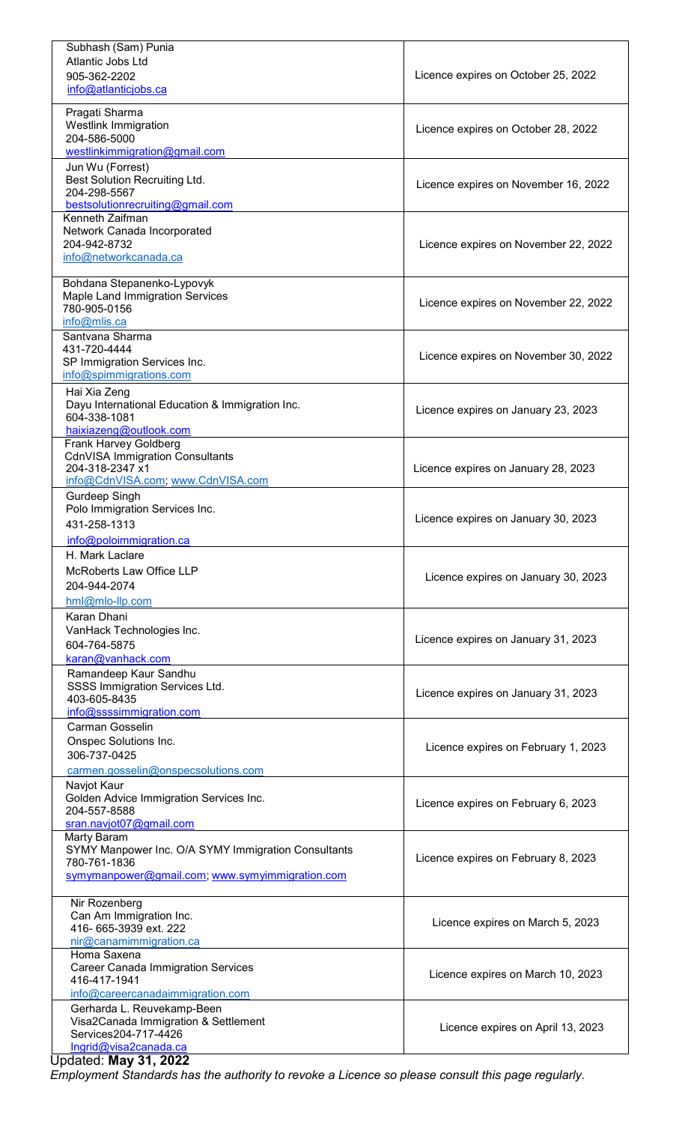| Subhash (Sam) Punia                                          |                                      |
|--------------------------------------------------------------|--------------------------------------|
| Atlantic Jobs Ltd                                            |                                      |
| 905-362-2202                                                 | Licence expires on October 25, 2022  |
| info@atlanticjobs.ca                                         |                                      |
| Pragati Sharma                                               |                                      |
| <b>Westlink Immigration</b>                                  | Licence expires on October 28, 2022  |
| 204-586-5000                                                 |                                      |
| westlinkimmigration@gmail.com                                |                                      |
| Jun Wu (Forrest)                                             |                                      |
| Best Solution Recruiting Ltd.                                | Licence expires on November 16, 2022 |
| 204-298-5567                                                 |                                      |
| bestsolutionrecruiting@gmail.com                             |                                      |
| Kenneth Zaifman                                              |                                      |
| Network Canada Incorporated<br>204-942-8732                  | Licence expires on November 22, 2022 |
| info@networkcanada.ca                                        |                                      |
|                                                              |                                      |
| Bohdana Stepanenko-Lypovyk                                   |                                      |
| Maple Land Immigration Services                              | Licence expires on November 22, 2022 |
| 780-905-0156                                                 |                                      |
| info@mlis.ca                                                 |                                      |
| Santvana Sharma                                              |                                      |
| 431-720-4444                                                 | Licence expires on November 30, 2022 |
| SP Immigration Services Inc.                                 |                                      |
| info@spimmigrations.com                                      |                                      |
| Hai Xia Zeng                                                 |                                      |
| Dayu International Education & Immigration Inc.              | Licence expires on January 23, 2023  |
| 604-338-1081<br>haixiazeng@outlook.com                       |                                      |
| Frank Harvey Goldberg                                        |                                      |
| <b>CdnVISA Immigration Consultants</b>                       |                                      |
| 204-318-2347 x1                                              | Licence expires on January 28, 2023  |
| info@CdnVISA.com; www.CdnVISA.com                            |                                      |
| Gurdeep Singh                                                |                                      |
| Polo Immigration Services Inc.                               |                                      |
| 431-258-1313                                                 | Licence expires on January 30, 2023  |
| info@poloimmigration.ca                                      |                                      |
| H. Mark Laclare                                              |                                      |
| <b>McRoberts Law Office LLP</b>                              |                                      |
| 204-944-2074                                                 | Licence expires on January 30, 2023  |
| hml@mlo-llp.com                                              |                                      |
|                                                              |                                      |
| Karan Dhani                                                  |                                      |
| VanHack Technologies Inc.                                    | Licence expires on January 31, 2023  |
| 604-764-5875                                                 |                                      |
| karan@vanhack.com                                            |                                      |
| Ramandeep Kaur Sandhu<br>SSSS Immigration Services Ltd.      |                                      |
| 403-605-8435                                                 | Licence expires on January 31, 2023  |
| info@ssssimmigration.com                                     |                                      |
| Carman Gosselin                                              |                                      |
| Onspec Solutions Inc.                                        |                                      |
| 306-737-0425                                                 | Licence expires on February 1, 2023  |
| carmen.gosselin@onspecsolutions.com                          |                                      |
| Navjot Kaur                                                  |                                      |
| Golden Advice Immigration Services Inc.                      |                                      |
| 204-557-8588                                                 | Licence expires on February 6, 2023  |
| sran.navjot07@gmail.com                                      |                                      |
| Marty Baram                                                  |                                      |
| SYMY Manpower Inc. O/A SYMY Immigration Consultants          |                                      |
| 780-761-1836                                                 | Licence expires on February 8, 2023  |
|                                                              |                                      |
| symymanpower@gmail.com; www.symyimmigration.com              |                                      |
|                                                              |                                      |
| Nir Rozenberg                                                |                                      |
| Can Am Immigration Inc.                                      | Licence expires on March 5, 2023     |
| 416-665-3939 ext. 222                                        |                                      |
| nir@canamimmigration.ca                                      |                                      |
| Homa Saxena                                                  |                                      |
| <b>Career Canada Immigration Services</b><br>416-417-1941    | Licence expires on March 10, 2023    |
| info@careercanadaimmigration.com                             |                                      |
| Gerharda L. Reuvekamp-Been                                   |                                      |
| Visa2Canada Immigration & Settlement                         |                                      |
| Services204-717-4426                                         | Licence expires on April 13, 2023    |
| <u>Ingrid@visa2canada.ca</u><br><b>Updated: May 31, 2022</b> |                                      |

*Employment Standards has the authority to revoke a Licence so please consult this page regularly.*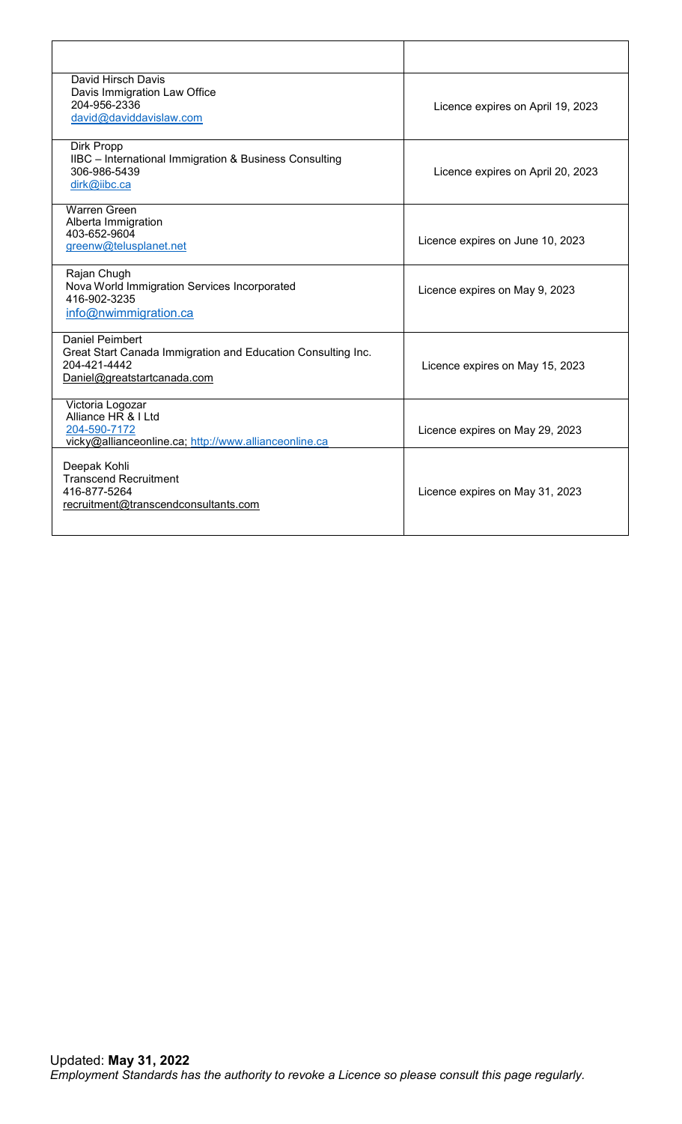| David Hirsch Davis<br>Davis Immigration Law Office<br>204-956-2336<br>david@daviddavislaw.com                                         | Licence expires on April 19, 2023 |
|---------------------------------------------------------------------------------------------------------------------------------------|-----------------------------------|
| Dirk Propp<br>IIBC - International Immigration & Business Consulting<br>306-986-5439<br>dirk@iibc.ca                                  | Licence expires on April 20, 2023 |
| <b>Warren Green</b><br>Alberta Immigration<br>403-652-9604<br>greenw@telusplanet.net                                                  | Licence expires on June 10, 2023  |
| Rajan Chugh<br>Nova World Immigration Services Incorporated<br>416-902-3235<br>info@nwimmigration.ca                                  | Licence expires on May 9, 2023    |
| <b>Daniel Peimbert</b><br>Great Start Canada Immigration and Education Consulting Inc.<br>204-421-4442<br>Daniel@greatstartcanada.com | Licence expires on May 15, 2023   |
| Victoria Logozar<br>Alliance HR & I Ltd<br>204-590-7172<br>vicky@allianceonline.ca; http://www.allianceonline.ca                      | Licence expires on May 29, 2023   |
| Deepak Kohli<br><b>Transcend Recruitment</b><br>416-877-5264<br>recruitment@transcendconsultants.com                                  | Licence expires on May 31, 2023   |